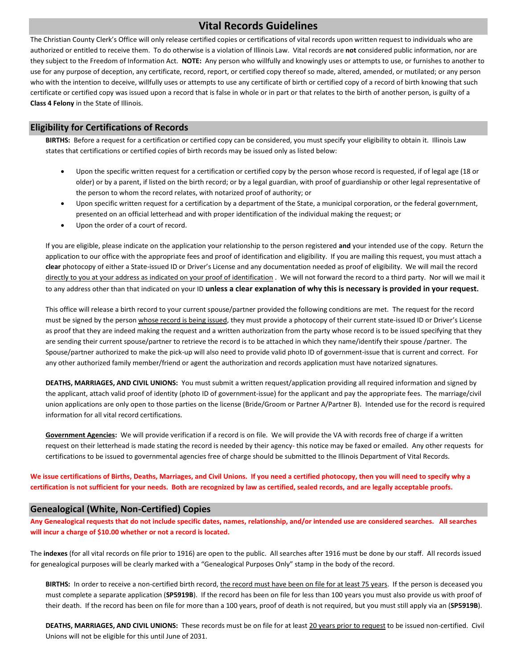## **Vital Records Guidelines**

The Christian County Clerk's Office will only release certified copies or certifications of vital records upon written request to individuals who are authorized or entitled to receive them. To do otherwise is a violation of Illinois Law. Vital records are **not** considered public information, nor are they subject to the Freedom of Information Act. **NOTE:** Any person who willfully and knowingly uses or attempts to use, or furnishes to another to use for any purpose of deception, any certificate, record, report, or certified copy thereof so made, altered, amended, or mutilated; or any person who with the intention to deceive, willfully uses or attempts to use any certificate of birth or certified copy of a record of birth knowing that such certificate or certified copy was issued upon a record that is false in whole or in part or that relates to the birth of another person, is guilty of a **Class 4 Felony** in the State of Illinois.

#### **Eligibility for Certifications of Records**

**BIRTHS:** Before a request for a certification or certified copy can be considered, you must specify your eligibility to obtain it. Illinois Law states that certifications or certified copies of birth records may be issued only as listed below:

- Upon the specific written request for a certification or certified copy by the person whose record is requested, if of legal age (18 or older) or by a parent, if listed on the birth record; or by a legal guardian, with proof of guardianship or other legal representative of the person to whom the record relates, with notarized proof of authority; or
- Upon specific written request for a certification by a department of the State, a municipal corporation, or the federal government, presented on an official letterhead and with proper identification of the individual making the request; or
- Upon the order of a court of record.

If you are eligible, please indicate on the application your relationship to the person registered **and** your intended use of the copy. Return the application to our office with the appropriate fees and proof of identification and eligibility. If you are mailing this request, you must attach a **clear** photocopy of either a State-issued ID or Driver's License and any documentation needed as proof of eligibility. We will mail the record directly to you at your address as indicated on your proof of identification . We will not forward the record to a third party. Nor will we mail it to any address other than that indicated on your ID **unless a clear explanation of why this is necessary is provided in your request.**

This office will release a birth record to your current spouse/partner provided the following conditions are met. The request for the record must be signed by the person whose record is being issued, they must provide a photocopy of their current state-issued ID or Driver's License as proof that they are indeed making the request and a written authorization from the party whose record is to be issued specifying that they are sending their current spouse/partner to retrieve the record is to be attached in which they name/identify their spouse /partner. The Spouse/partner authorized to make the pick-up will also need to provide valid photo ID of government-issue that is current and correct. For any other authorized family member/friend or agent the authorization and records application must have notarized signatures.

**DEATHS, MARRIAGES, AND CIVIL UNIONS:** You must submit a written request/application providing all required information and signed by the applicant, attach valid proof of identity (photo ID of government-issue) for the applicant and pay the appropriate fees. The marriage/civil union applications are only open to those parties on the license (Bride/Groom or Partner A/Partner B). Intended use for the record is required information for all vital record certifications.

**Government Agencies:** We will provide verification if a record is on file. We will provide the VA with records free of charge if a written request on their letterhead is made stating the record is needed by their agency- this notice may be faxed or emailed. Any other requests for certifications to be issued to governmental agencies free of charge should be submitted to the Illinois Department of Vital Records.

**We issue certifications of Births, Deaths, Marriages, and Civil Unions. If you need a certified photocopy, then you will need to specify why a certification is not sufficient for your needs. Both are recognized by law as certified, sealed records, and are legally acceptable proofs.** 

#### **Genealogical (White, Non-Certified) Copies**

**Any Genealogical requests that do not include specific dates, names, relationship, and/or intended use are considered searches. All searches will incur a charge of \$10.00 whether or not a record is located.** 

The **indexes** (for all vital records on file prior to 1916) are open to the public. All searches after 1916 must be done by our staff. All records issued for genealogical purposes will be clearly marked with a "Genealogical Purposes Only" stamp in the body of the record.

BIRTHS: In order to receive a non-certified birth record, the record must have been on file for at least 75 years. If the person is deceased you must complete a separate application (**SP5919B**). If the record has been on file for less than 100 years you must also provide us with proof of their death. If the record has been on file for more than a 100 years, proof of death is not required, but you must still apply via an (**SP5919B**).

**DEATHS, MARRIAGES, AND CIVIL UNIONS:** These records must be on file for at least 20 years prior to request to be issued non-certified. Civil Unions will not be eligible for this until June of 2031.